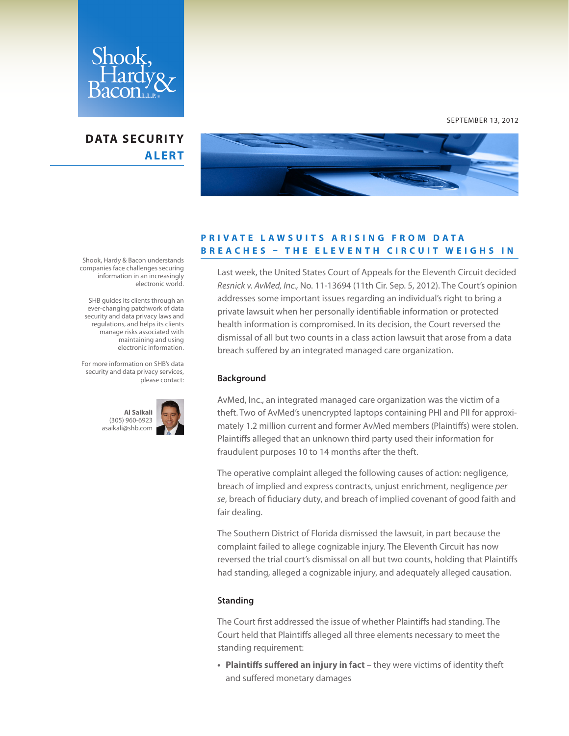

## **DATA SECURITY ALERT**



SEPTEMBER 13, 2012

### **P R I V A T E L A W S U I T S A R I S I N G F R O M D A T A BREACHES - THE ELEVENTH CIRCUIT WEIGHS IN**

Last week, the United States Court of Appeals for the Eleventh Circuit decided *Resnick v. AvMed, Inc.,* No. 11-13694 (11th Cir. Sep. 5, 2012). The Court's opinion addresses some important issues regarding an individual's right to bring a private lawsuit when her personally identifiable information or protected health information is compromised. In its decision, the Court reversed the dismissal of all but two counts in a class action lawsuit that arose from a data breach suffered by an integrated managed care organization.

#### **Background**

AvMed, Inc., an integrated managed care organization was the victim of a theft. Two of AvMed's unencrypted laptops containing PHI and PII for approximately 1.2 million current and former AvMed members (Plaintiffs) were stolen. Plaintiffs alleged that an unknown third party used their information for fraudulent purposes 10 to 14 months after the theft.

The operative complaint alleged the following causes of action: negligence, breach of implied and express contracts, unjust enrichment, negligence *per se*, breach of fiduciary duty, and breach of implied covenant of good faith and fair dealing.

The Southern District of Florida dismissed the lawsuit, in part because the complaint failed to allege cognizable injury. The Eleventh Circuit has now reversed the trial court's dismissal on all but two counts, holding that Plaintiffs had standing, alleged a cognizable injury, and adequately alleged causation.

#### **Standing**

The Court first addressed the issue of whether Plaintiffs had standing. The Court held that Plaintiffs alleged all three elements necessary to meet the standing requirement:

**• Plaintiffs suffered an injury in fact** – they were victims of identity theft and suffered monetary damages

Shook, Hardy & Bacon understands companies face challenges securing information in an increasingly electronic world.

 SHB guides its clients through an ever-changing patchwork of data security and data privacy laws and regulations, and helps its clients manage risks associated with maintaining and using electronic information.

For more information on SHB's data security and data privacy services, please contact:

> **Al Saikali** (305) 960-6923 [asaikali@shb.com](mailto:asaikali%40shb.com%20?subject=SHB%27s%20Data%20Security%20Alert)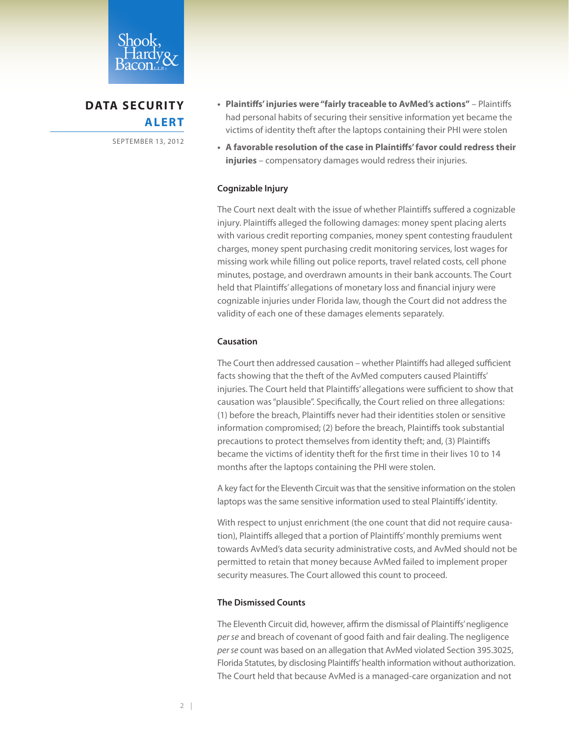

# **DATA SECURITY ALERT**

SEPTEMBER 13, 2012

- **• Plaintiffs'injuries were"fairly traceable to AvMed's actions"** Plaintiffs had personal habits of securing their sensitive information yet became the victims of identity theft after the laptops containing their PHI were stolen
- **• A favorable resolution of the case in Plaintiffs'favor could redress their injuries** – compensatory damages would redress their injuries.

#### **Cognizable Injury**

The Court next dealt with the issue of whether Plaintiffs suffered a cognizable injury. Plaintiffs alleged the following damages: money spent placing alerts with various credit reporting companies, money spent contesting fraudulent charges, money spent purchasing credit monitoring services, lost wages for missing work while filling out police reports, travel related costs, cell phone minutes, postage, and overdrawn amounts in their bank accounts. The Court held that Plaintiffs' allegations of monetary loss and financial injury were cognizable injuries under Florida law, though the Court did not address the validity of each one of these damages elements separately.

#### **Causation**

The Court then addressed causation – whether Plaintiffs had alleged sufficient facts showing that the theft of the AvMed computers caused Plaintiffs' injuries. The Court held that Plaintiffs' allegations were sufficient to show that causation was "plausible". Specifically, the Court relied on three allegations: (1) before the breach, Plaintiffs never had their identities stolen or sensitive information compromised; (2) before the breach, Plaintiffs took substantial precautions to protect themselves from identity theft; and, (3) Plaintiffs became the victims of identity theft for the first time in their lives 10 to 14 months after the laptops containing the PHI were stolen.

A key fact for the Eleventh Circuit was that the sensitive information on the stolen laptops was the same sensitive information used to steal Plaintiffs' identity.

With respect to unjust enrichment (the one count that did not require causation), Plaintiffs alleged that a portion of Plaintiffs' monthly premiums went towards AvMed's data security administrative costs, and AvMed should not be permitted to retain that money because AvMed failed to implement proper security measures. The Court allowed this count to proceed.

#### **The Dismissed Counts**

The Eleventh Circuit did, however, affirm the dismissal of Plaintiffs' negligence *per se* and breach of covenant of good faith and fair dealing. The negligence *per se* count was based on an allegation that AvMed violated Section 395.3025, Florida Statutes, by disclosing Plaintiffs' health information without authorization. The Court held that because AvMed is a managed-care organization and not